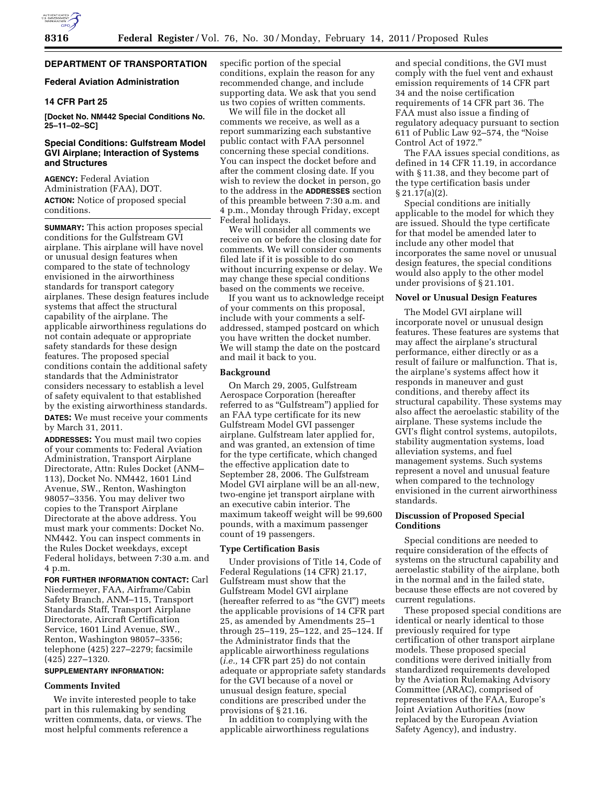# **DEPARTMENT OF TRANSPORTATION**

## **Federal Aviation Administration**

## **14 CFR Part 25**

**[Docket No. NM442 Special Conditions No. 25–11–02–SC]** 

## **Special Conditions: Gulfstream Model GVI Airplane; Interaction of Systems and Structures**

**AGENCY:** Federal Aviation Administration (FAA), DOT. **ACTION:** Notice of proposed special conditions.

**SUMMARY:** This action proposes special conditions for the Gulfstream GVI airplane. This airplane will have novel or unusual design features when compared to the state of technology envisioned in the airworthiness standards for transport category airplanes. These design features include systems that affect the structural capability of the airplane. The applicable airworthiness regulations do not contain adequate or appropriate safety standards for these design features. The proposed special conditions contain the additional safety standards that the Administrator considers necessary to establish a level of safety equivalent to that established by the existing airworthiness standards.

**DATES:** We must receive your comments by March 31, 2011.

**ADDRESSES:** You must mail two copies of your comments to: Federal Aviation Administration, Transport Airplane Directorate, Attn: Rules Docket (ANM– 113), Docket No. NM442, 1601 Lind Avenue, SW., Renton, Washington 98057–3356. You may deliver two copies to the Transport Airplane Directorate at the above address. You must mark your comments: Docket No. NM442. You can inspect comments in the Rules Docket weekdays, except Federal holidays, between 7:30 a.m. and 4 p.m.

**FOR FURTHER INFORMATION CONTACT:** Carl Niedermeyer, FAA, Airframe/Cabin Safety Branch, ANM–115, Transport Standards Staff, Transport Airplane Directorate, Aircraft Certification Service, 1601 Lind Avenue, SW., Renton, Washington 98057–3356; telephone (425) 227–2279; facsimile (425) 227–1320.

#### **SUPPLEMENTARY INFORMATION:**

#### **Comments Invited**

We invite interested people to take part in this rulemaking by sending written comments, data, or views. The most helpful comments reference a

specific portion of the special conditions, explain the reason for any recommended change, and include supporting data. We ask that you send us two copies of written comments.

We will file in the docket all comments we receive, as well as a report summarizing each substantive public contact with FAA personnel concerning these special conditions. You can inspect the docket before and after the comment closing date. If you wish to review the docket in person, go to the address in the **ADDRESSES** section of this preamble between 7:30 a.m. and 4 p.m., Monday through Friday, except Federal holidays.

We will consider all comments we receive on or before the closing date for comments. We will consider comments filed late if it is possible to do so without incurring expense or delay. We may change these special conditions based on the comments we receive.

If you want us to acknowledge receipt of your comments on this proposal, include with your comments a selfaddressed, stamped postcard on which you have written the docket number. We will stamp the date on the postcard and mail it back to you.

#### **Background**

On March 29, 2005, Gulfstream Aerospace Corporation (hereafter referred to as "Gulfstream") applied for an FAA type certificate for its new Gulfstream Model GVI passenger airplane. Gulfstream later applied for, and was granted, an extension of time for the type certificate, which changed the effective application date to September 28, 2006. The Gulfstream Model GVI airplane will be an all-new, two-engine jet transport airplane with an executive cabin interior. The maximum takeoff weight will be 99,600 pounds, with a maximum passenger count of 19 passengers.

### **Type Certification Basis**

Under provisions of Title 14, Code of Federal Regulations (14 CFR) 21.17, Gulfstream must show that the Gulfstream Model GVI airplane (hereafter referred to as ''the GVI'') meets the applicable provisions of 14 CFR part 25, as amended by Amendments 25–1 through 25–119, 25–122, and 25–124. If the Administrator finds that the applicable airworthiness regulations (*i.e.,* 14 CFR part 25) do not contain adequate or appropriate safety standards for the GVI because of a novel or unusual design feature, special conditions are prescribed under the provisions of § 21.16.

In addition to complying with the applicable airworthiness regulations and special conditions, the GVI must comply with the fuel vent and exhaust emission requirements of 14 CFR part 34 and the noise certification requirements of 14 CFR part 36. The FAA must also issue a finding of regulatory adequacy pursuant to section 611 of Public Law 92–574, the ''Noise Control Act of 1972.''

The FAA issues special conditions, as defined in 14 CFR 11.19, in accordance with § 11.38, and they become part of the type certification basis under § 21.17(a)(2).

Special conditions are initially applicable to the model for which they are issued. Should the type certificate for that model be amended later to include any other model that incorporates the same novel or unusual design features, the special conditions would also apply to the other model under provisions of § 21.101.

#### **Novel or Unusual Design Features**

The Model GVI airplane will incorporate novel or unusual design features. These features are systems that may affect the airplane's structural performance, either directly or as a result of failure or malfunction. That is, the airplane's systems affect how it responds in maneuver and gust conditions, and thereby affect its structural capability. These systems may also affect the aeroelastic stability of the airplane. These systems include the GVI's flight control systems, autopilots, stability augmentation systems, load alleviation systems, and fuel management systems. Such systems represent a novel and unusual feature when compared to the technology envisioned in the current airworthiness standards.

## **Discussion of Proposed Special Conditions**

Special conditions are needed to require consideration of the effects of systems on the structural capability and aeroelastic stability of the airplane, both in the normal and in the failed state, because these effects are not covered by current regulations.

These proposed special conditions are identical or nearly identical to those previously required for type certification of other transport airplane models. These proposed special conditions were derived initially from standardized requirements developed by the Aviation Rulemaking Advisory Committee (ARAC), comprised of representatives of the FAA, Europe's Joint Aviation Authorities (now replaced by the European Aviation Safety Agency), and industry.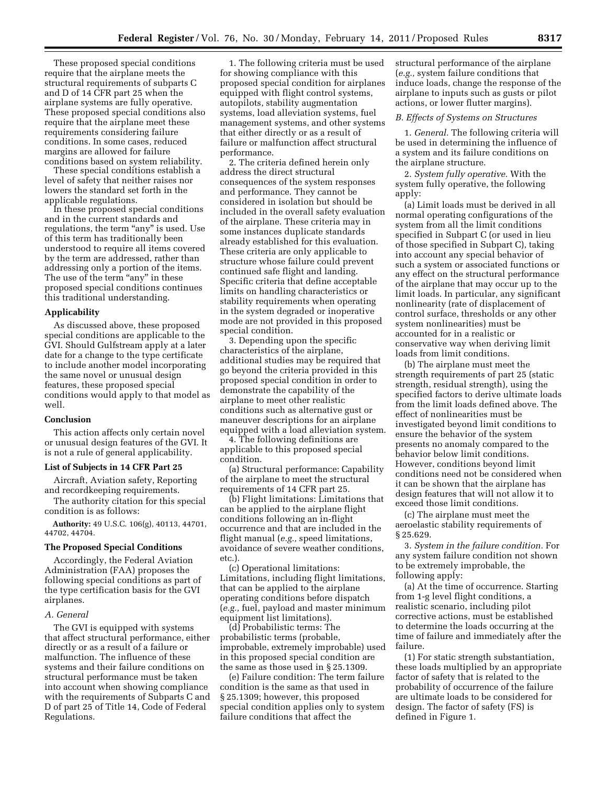These proposed special conditions require that the airplane meets the structural requirements of subparts C and D of 14 CFR part 25 when the airplane systems are fully operative. These proposed special conditions also require that the airplane meet these requirements considering failure conditions. In some cases, reduced margins are allowed for failure conditions based on system reliability.

These special conditions establish a level of safety that neither raises nor lowers the standard set forth in the applicable regulations.

In these proposed special conditions and in the current standards and regulations, the term "any" is used. Use of this term has traditionally been understood to require all items covered by the term are addressed, rather than addressing only a portion of the items. The use of the term "any" in these proposed special conditions continues this traditional understanding.

#### **Applicability**

As discussed above, these proposed special conditions are applicable to the GVI. Should Gulfstream apply at a later date for a change to the type certificate to include another model incorporating the same novel or unusual design features, these proposed special conditions would apply to that model as well.

#### **Conclusion**

This action affects only certain novel or unusual design features of the GVI. It is not a rule of general applicability.

# **List of Subjects in 14 CFR Part 25**

Aircraft, Aviation safety, Reporting and recordkeeping requirements.

The authority citation for this special condition is as follows:

**Authority:** 49 U.S.C. 106(g), 40113, 44701, 44702, 44704.

#### **The Proposed Special Conditions**

Accordingly, the Federal Aviation Administration (FAA) proposes the following special conditions as part of the type certification basis for the GVI airplanes.

#### *A. General*

The GVI is equipped with systems that affect structural performance, either directly or as a result of a failure or malfunction. The influence of these systems and their failure conditions on structural performance must be taken into account when showing compliance with the requirements of Subparts C and D of part 25 of Title 14, Code of Federal Regulations.

1. The following criteria must be used for showing compliance with this proposed special condition for airplanes equipped with flight control systems, autopilots, stability augmentation systems, load alleviation systems, fuel management systems, and other systems that either directly or as a result of failure or malfunction affect structural performance.

2. The criteria defined herein only address the direct structural consequences of the system responses and performance. They cannot be considered in isolation but should be included in the overall safety evaluation of the airplane. These criteria may in some instances duplicate standards already established for this evaluation. These criteria are only applicable to structure whose failure could prevent continued safe flight and landing. Specific criteria that define acceptable limits on handling characteristics or stability requirements when operating in the system degraded or inoperative mode are not provided in this proposed special condition.

3. Depending upon the specific characteristics of the airplane, additional studies may be required that go beyond the criteria provided in this proposed special condition in order to demonstrate the capability of the airplane to meet other realistic conditions such as alternative gust or maneuver descriptions for an airplane equipped with a load alleviation system.

4. The following definitions are applicable to this proposed special condition.

(a) Structural performance: Capability of the airplane to meet the structural requirements of 14 CFR part 25.

(b) Flight limitations: Limitations that can be applied to the airplane flight conditions following an in-flight occurrence and that are included in the flight manual (*e.g.,* speed limitations, avoidance of severe weather conditions, etc.)

(c) Operational limitations: Limitations, including flight limitations, that can be applied to the airplane operating conditions before dispatch (*e.g.,* fuel, payload and master minimum equipment list limitations).

(d) Probabilistic terms: The probabilistic terms (probable, improbable, extremely improbable) used in this proposed special condition are the same as those used in § 25.1309.

(e) Failure condition: The term failure condition is the same as that used in § 25.1309; however, this proposed special condition applies only to system failure conditions that affect the

structural performance of the airplane (*e.g.,* system failure conditions that induce loads, change the response of the airplane to inputs such as gusts or pilot actions, or lower flutter margins).

#### *B. Effects of Systems on Structures*

1. *General.* The following criteria will be used in determining the influence of a system and its failure conditions on the airplane structure.

2. *System fully operative.* With the system fully operative, the following apply:

(a) Limit loads must be derived in all normal operating configurations of the system from all the limit conditions specified in Subpart C (or used in lieu of those specified in Subpart C), taking into account any special behavior of such a system or associated functions or any effect on the structural performance of the airplane that may occur up to the limit loads. In particular, any significant nonlinearity (rate of displacement of control surface, thresholds or any other system nonlinearities) must be accounted for in a realistic or conservative way when deriving limit loads from limit conditions.

(b) The airplane must meet the strength requirements of part 25 (static strength, residual strength), using the specified factors to derive ultimate loads from the limit loads defined above. The effect of nonlinearities must be investigated beyond limit conditions to ensure the behavior of the system presents no anomaly compared to the behavior below limit conditions. However, conditions beyond limit conditions need not be considered when it can be shown that the airplane has design features that will not allow it to exceed those limit conditions.

(c) The airplane must meet the aeroelastic stability requirements of § 25.629.

3. *System in the failure condition.* For any system failure condition not shown to be extremely improbable, the following apply:

(a) At the time of occurrence. Starting from 1-g level flight conditions, a realistic scenario, including pilot corrective actions, must be established to determine the loads occurring at the time of failure and immediately after the failure.

(1) For static strength substantiation, these loads multiplied by an appropriate factor of safety that is related to the probability of occurrence of the failure are ultimate loads to be considered for design. The factor of safety (FS) is defined in Figure 1.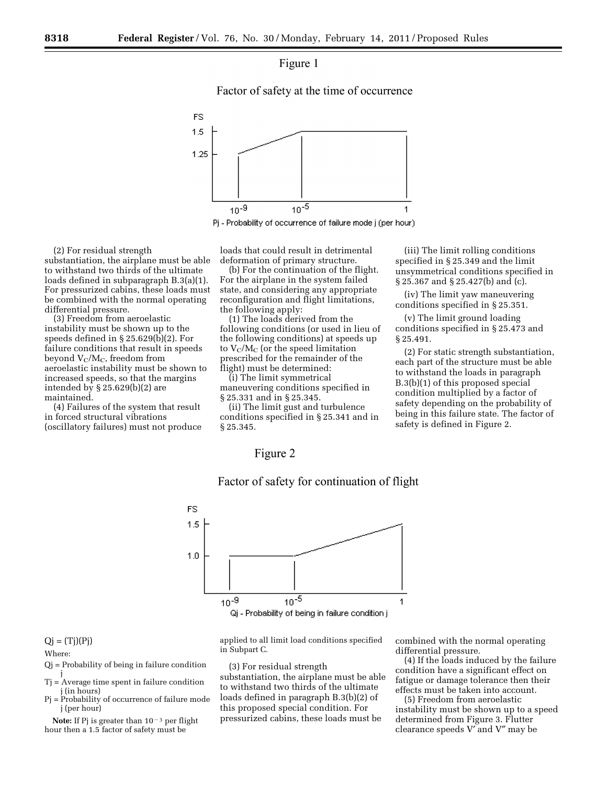

Factor of safety at the time of occurrence



Pj - Probability of occurrence of failure mode j (per hour)

(2) For residual strength substantiation, the airplane must be able to withstand two thirds of the ultimate loads defined in subparagraph B.3(a)(1). For pressurized cabins, these loads must be combined with the normal operating differential pressure.

(3) Freedom from aeroelastic instability must be shown up to the speeds defined in § 25.629(b)(2). For failure conditions that result in speeds beyond  $V_C/M_C$ , freedom from aeroelastic instability must be shown to increased speeds, so that the margins intended by § 25.629(b)(2) are maintained.

(4) Failures of the system that result in forced structural vibrations (oscillatory failures) must not produce loads that could result in detrimental deformation of primary structure.

(b) For the continuation of the flight. For the airplane in the system failed state, and considering any appropriate reconfiguration and flight limitations, the following apply:

(1) The loads derived from the following conditions (or used in lieu of the following conditions) at speeds up to  $V_C/M_C$  (or the speed limitation prescribed for the remainder of the flight) must be determined:

(i) The limit symmetrical maneuvering conditions specified in § 25.331 and in § 25.345.

(ii) The limit gust and turbulence conditions specified in § 25.341 and in § 25.345.

(iii) The limit rolling conditions specified in § 25.349 and the limit unsymmetrical conditions specified in § 25.367 and § 25.427(b) and (c).

(iv) The limit yaw maneuvering conditions specified in § 25.351.

(v) The limit ground loading conditions specified in § 25.473 and § 25.491.

(2) For static strength substantiation, each part of the structure must be able to withstand the loads in paragraph B.3(b)(1) of this proposed special condition multiplied by a factor of safety depending on the probability of being in this failure state. The factor of safety is defined in Figure 2.

# Figure 2



# Factor of safety for continuation of flight

 $Qj = (Tj)(Pj)$ 

## Where:

- Qj = Probability of being in failure condition j
- Tj = Average time spent in failure condition j (in hours)
- Pj = Probability of occurrence of failure mode j (per hour)

**Note:** If Pj is greater than  $10^{-3}$  per flight hour then a 1.5 factor of safety must be

applied to all limit load conditions specified in Subpart C.

(3) For residual strength substantiation, the airplane must be able to withstand two thirds of the ultimate loads defined in paragraph B.3(b)(2) of this proposed special condition. For pressurized cabins, these loads must be

combined with the normal operating differential pressure.

(4) If the loads induced by the failure condition have a significant effect on fatigue or damage tolerance then their effects must be taken into account.

(5) Freedom from aeroelastic instability must be shown up to a speed determined from Figure 3. Flutter clearance speeds V′ and V″ may be